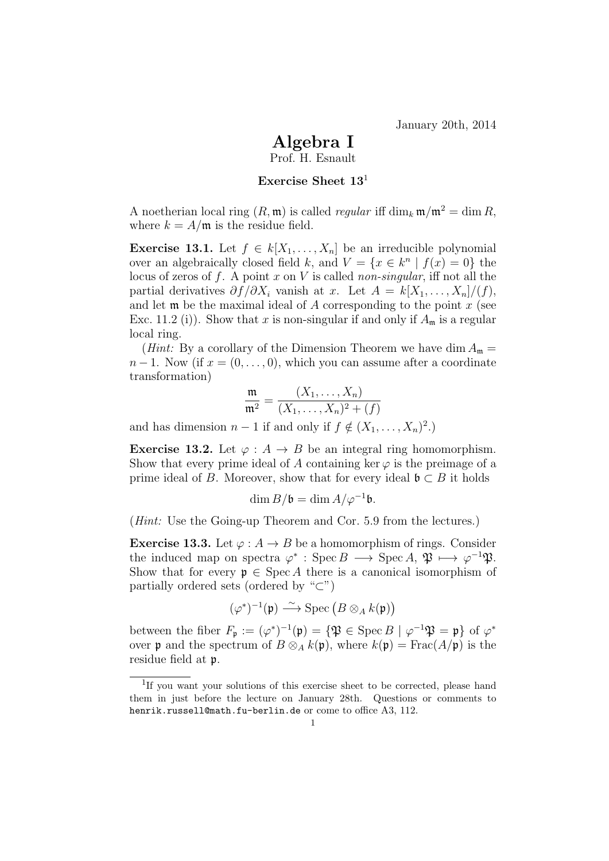## Algebra I

Prof. H. Esnault

## Exercise Sheet  $13<sup>1</sup>$

A noetherian local ring  $(R, \mathfrak{m})$  is called *regular* iff dim<sub>k</sub>  $\mathfrak{m}/\mathfrak{m}^2 = \dim R$ , where  $k = A/\mathfrak{m}$  is the residue field.

**Exercise 13.1.** Let  $f \in k[X_1, \ldots, X_n]$  be an irreducible polynomial over an algebraically closed field k, and  $V = \{x \in k^n \mid f(x) = 0\}$  the locus of zeros of f. A point x on V is called non-singular, iff not all the partial derivatives  $\partial f/\partial X_i$  vanish at x. Let  $A = k[X_1, \ldots, X_n]/(f)$ , and let  $\mathfrak m$  be the maximal ideal of A corresponding to the point x (see Exc. 11.2 (i)). Show that x is non-singular if and only if  $A<sub>m</sub>$  is a regular local ring.

(*Hint*: By a corollary of the Dimension Theorem we have dim  $A_{\mathfrak{m}} =$  $n-1$ . Now (if  $x=(0,\ldots,0)$ , which you can assume after a coordinate transformation)

$$
\frac{\mathfrak{m}}{\mathfrak{m}^2} = \frac{(X_1, \dots, X_n)}{(X_1, \dots, X_n)^2 + (f)}
$$

and has dimension  $n-1$  if and only if  $f \notin (X_1, \ldots, X_n)^2$ .

**Exercise 13.2.** Let  $\varphi : A \to B$  be an integral ring homomorphism. Show that every prime ideal of A containing ker  $\varphi$  is the preimage of a prime ideal of B. Moreover, show that for every ideal  $\mathfrak{b} \subset B$  it holds

$$
\dim B/\mathfrak{b} = \dim A/\varphi^{-1}\mathfrak{b}.
$$

(Hint: Use the Going-up Theorem and Cor. 5.9 from the lectures.)

**Exercise 13.3.** Let  $\varphi: A \to B$  be a homomorphism of rings. Consider the induced map on spectra  $\varphi^*$ : Spec  $B \longrightarrow \text{Spec } A, \mathfrak{P} \longmapsto \varphi^{-1} \mathfrak{P}.$ Show that for every  $\mathfrak{p} \in \operatorname{Spec} A$  there is a canonical isomorphism of partially ordered sets (ordered by " $\subset$ ")

$$
(\varphi^*)^{-1}(\mathfrak{p}) \stackrel{\sim}{\longrightarrow} \mathrm{Spec} \left( B \otimes_A k(\mathfrak{p}) \right)
$$

between the fiber  $F_{\mathfrak{p}} := (\varphi^*)^{-1}(\mathfrak{p}) = {\mathfrak{P} \in \operatorname{Spec} B \mid \varphi^{-1} \mathfrak{P} = \mathfrak{p}} \text{ of } \varphi^*$ over **p** and the spectrum of  $B \otimes_A k(\mathfrak{p})$ , where  $k(\mathfrak{p}) = \text{Frac}(A/\mathfrak{p})$  is the residue field at p.

<sup>&</sup>lt;sup>1</sup>If you want your solutions of this exercise sheet to be corrected, please hand them in just before the lecture on January 28th. Questions or comments to henrik.russell@math.fu-berlin.de or come to office A3, 112.